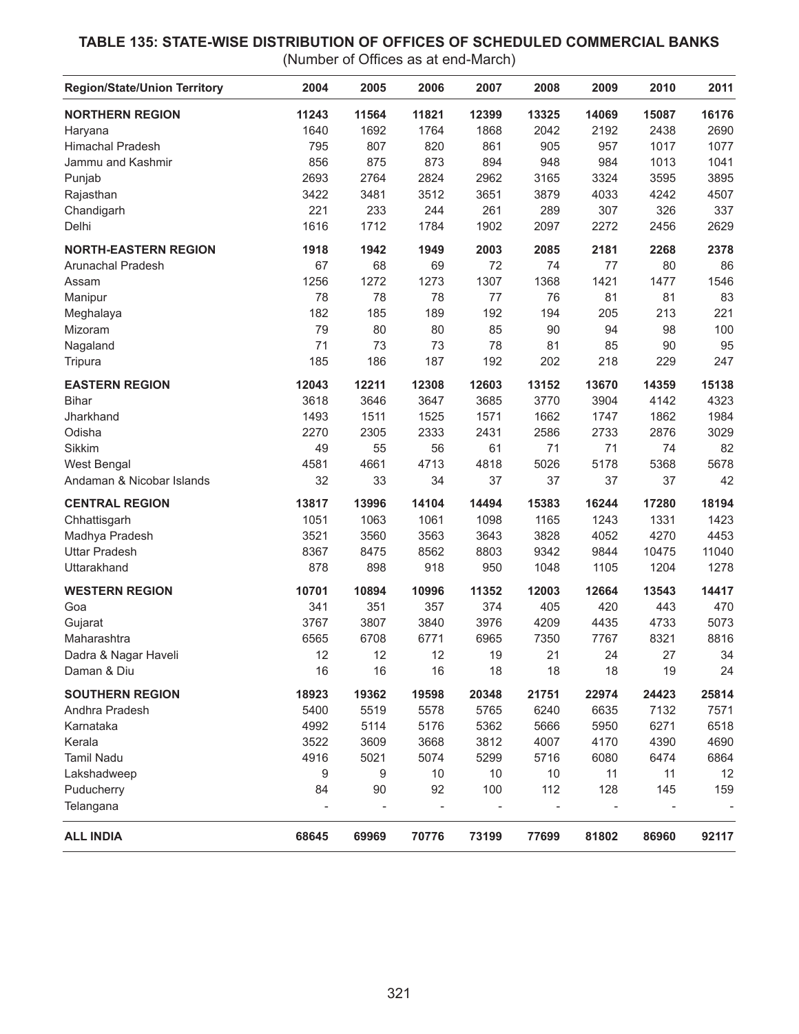## **TABLE 135: STATE-WISE DISTRIBUTION OF OFFICES OF SCHEDULED COMMERCIAL BANKS**

(Number of Offices as at end-March)

| <b>Region/State/Union Territory</b> | 2004  | 2005  | 2006  | 2007  | 2008  | 2009  | 2010  | 2011  |
|-------------------------------------|-------|-------|-------|-------|-------|-------|-------|-------|
| <b>NORTHERN REGION</b>              | 11243 | 11564 | 11821 | 12399 | 13325 | 14069 | 15087 | 16176 |
| Haryana                             | 1640  | 1692  | 1764  | 1868  | 2042  | 2192  | 2438  | 2690  |
| <b>Himachal Pradesh</b>             | 795   | 807   | 820   | 861   | 905   | 957   | 1017  | 1077  |
| Jammu and Kashmir                   | 856   | 875   | 873   | 894   | 948   | 984   | 1013  | 1041  |
| Punjab                              | 2693  | 2764  | 2824  | 2962  | 3165  | 3324  | 3595  | 3895  |
| Rajasthan                           | 3422  | 3481  | 3512  | 3651  | 3879  | 4033  | 4242  | 4507  |
| Chandigarh                          | 221   | 233   | 244   | 261   | 289   | 307   | 326   | 337   |
| Delhi                               | 1616  | 1712  | 1784  | 1902  | 2097  | 2272  | 2456  | 2629  |
| <b>NORTH-EASTERN REGION</b>         | 1918  | 1942  | 1949  | 2003  | 2085  | 2181  | 2268  | 2378  |
| <b>Arunachal Pradesh</b>            | 67    | 68    | 69    | 72    | 74    | 77    | 80    | 86    |
| Assam                               | 1256  | 1272  | 1273  | 1307  | 1368  | 1421  | 1477  | 1546  |
| Manipur                             | 78    | 78    | 78    | 77    | 76    | 81    | 81    | 83    |
| Meghalaya                           | 182   | 185   | 189   | 192   | 194   | 205   | 213   | 221   |
| Mizoram                             | 79    | 80    | 80    | 85    | 90    | 94    | 98    | 100   |
| Nagaland                            | 71    | 73    | 73    | 78    | 81    | 85    | 90    | 95    |
| Tripura                             | 185   | 186   | 187   | 192   | 202   | 218   | 229   | 247   |
| <b>EASTERN REGION</b>               | 12043 | 12211 | 12308 | 12603 | 13152 | 13670 | 14359 | 15138 |
| <b>Bihar</b>                        | 3618  | 3646  | 3647  | 3685  | 3770  | 3904  | 4142  | 4323  |
| Jharkhand                           | 1493  | 1511  | 1525  | 1571  | 1662  | 1747  | 1862  | 1984  |
| Odisha                              | 2270  | 2305  | 2333  | 2431  | 2586  | 2733  | 2876  | 3029  |
| Sikkim                              | 49    | 55    | 56    | 61    | 71    | 71    | 74    | 82    |
| <b>West Bengal</b>                  | 4581  | 4661  | 4713  | 4818  | 5026  | 5178  | 5368  | 5678  |
| Andaman & Nicobar Islands           | 32    | 33    | 34    | 37    | 37    | 37    | 37    | 42    |
| <b>CENTRAL REGION</b>               | 13817 | 13996 | 14104 | 14494 | 15383 | 16244 | 17280 | 18194 |
| Chhattisgarh                        | 1051  | 1063  | 1061  | 1098  | 1165  | 1243  | 1331  | 1423  |
| Madhya Pradesh                      | 3521  | 3560  | 3563  | 3643  | 3828  | 4052  | 4270  | 4453  |
| <b>Uttar Pradesh</b>                | 8367  | 8475  | 8562  | 8803  | 9342  | 9844  | 10475 | 11040 |
| Uttarakhand                         | 878   | 898   | 918   | 950   | 1048  | 1105  | 1204  | 1278  |
| <b>WESTERN REGION</b>               | 10701 | 10894 | 10996 | 11352 | 12003 | 12664 | 13543 | 14417 |
| Goa                                 | 341   | 351   | 357   | 374   | 405   | 420   | 443   | 470   |
| Gujarat                             | 3767  | 3807  | 3840  | 3976  | 4209  | 4435  | 4733  | 5073  |
| Maharashtra                         | 6565  | 6708  | 6771  | 6965  | 7350  | 7767  | 8321  | 8816  |
| Dadra & Nagar Haveli                | 12    | 12    | 12    | 19    | 21    | 24    | 27    | 34    |
| Daman & Diu                         | 16    | 16    | 16    | 18    | 18    | 18    | 19    | 24    |
| <b>SOUTHERN REGION</b>              | 18923 | 19362 | 19598 | 20348 | 21751 | 22974 | 24423 | 25814 |
| Andhra Pradesh                      | 5400  | 5519  | 5578  | 5765  | 6240  | 6635  | 7132  | 7571  |
| Karnataka                           | 4992  | 5114  | 5176  | 5362  | 5666  | 5950  | 6271  | 6518  |
| Kerala                              | 3522  | 3609  | 3668  | 3812  | 4007  | 4170  | 4390  | 4690  |
| <b>Tamil Nadu</b>                   | 4916  | 5021  | 5074  | 5299  | 5716  | 6080  | 6474  | 6864  |
| Lakshadweep                         | 9     | 9     | 10    | 10    | 10    | 11    | 11    | 12    |
| Puducherry                          | 84    | 90    | 92    | 100   | 112   | 128   | 145   | 159   |
| Telangana                           |       |       |       |       |       |       |       |       |
| <b>ALL INDIA</b>                    | 68645 | 69969 | 70776 | 73199 | 77699 | 81802 | 86960 | 92117 |